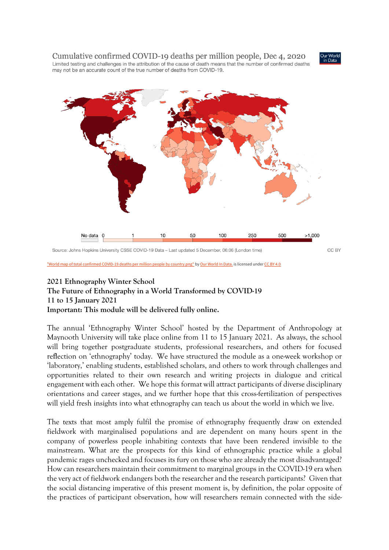Cumulative confirmed COVID-19 deaths per million people, Dec 4, 2020 Limited testing and challenges in the attribution of the cause of death means that the number of confirmed deaths may not be an accurate count of the true number of deaths from COVID-19.





["World map of total confirmed COVID-19 deaths per million people by country.png"](https://commons.wikimedia.org/w/index.php?curid=88311034) by [Our World In Data.](https://ourworldindata.org/) is licensed under [CC BY 4.0](https://creativecommons.org/licenses/by/4.0?ref=ccsearch&atype=rich)

## **2021 Ethnography Winter School**

**The Future of Ethnography in a World Transformed by COVID-19 11 to 15 January 2021 Important: This module will be delivered fully online.**

The annual 'Ethnography Winter School' hosted by the Department of Anthropology at Maynooth University will take place online from 11 to 15 January 2021. As always, the school will bring together postgraduate students, professional researchers, and others for focused reflection on 'ethnography' today. We have structured the module as a one-week workshop or 'laboratory,' enabling students, established scholars, and others to work through challenges and opportunities related to their own research and writing projects in dialogue and critical engagement with each other. We hope this format will attract participants of diverse disciplinary orientations and career stages, and we further hope that this cross-fertilization of perspectives will yield fresh insights into what ethnography can teach us about the world in which we live.

The texts that most amply fulfil the promise of ethnography frequently draw on extended fieldwork with marginalised populations and are dependent on many hours spent in the company of powerless people inhabiting contexts that have been rendered invisible to the mainstream. What are the prospects for this kind of ethnographic practice while a global pandemic rages unchecked and focuses its fury on those who are already the most disadvantaged? How can researchers maintain their commitment to marginal groups in the COVID-19 era when the very act of fieldwork endangers both the researcher and the research participants? Given that the social distancing imperative of this present moment is, by definition, the polar opposite of the practices of participant observation, how will researchers remain connected with the side